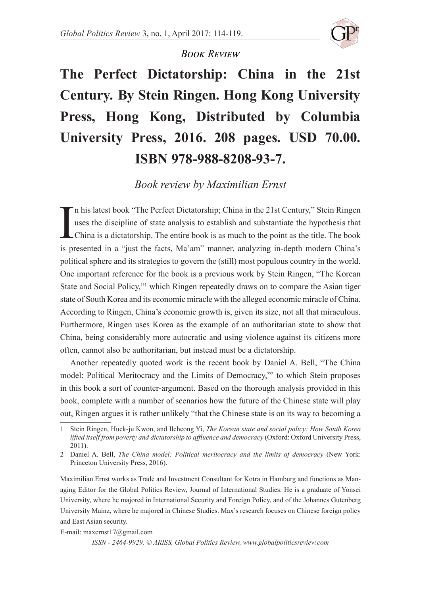

## *Book Review*

## **The Perfect Dictatorship: China in the 21st Century***.* **By Stein Ringen. Hong Kong University Press, Hong Kong, Distributed by Columbia University Press, 2016. 208 pages. USD 70.00. ISBN 978-988-8208-93-7.**

## *Book review by Maximilian Ernst*

In his latest book "The Perfect Dictatorship; China in the 21st Century," Stein Ringen uses the discipline of state analysis to establish and substantiate the hypothesis that China is a dictatorship. The entire book is as n his latest book "The Perfect Dictatorship; China in the 21st Century," Stein Ringen uses the discipline of state analysis to establish and substantiate the hypothesis that China is a dictatorship. The entire book is as much to the point as the title. The book political sphere and its strategies to govern the (still) most populous country in the world. One important reference for the book is a previous work by Stein Ringen, "The Korean State and Social Policy,"<sup>1</sup> which Ringen repeatedly draws on to compare the Asian tiger state of South Korea and its economic miracle with the alleged economic miracle of China. According to Ringen, China's economic growth is, given its size, not all that miraculous. Furthermore, Ringen uses Korea as the example of an authoritarian state to show that China, being considerably more autocratic and using violence against its citizens more often, cannot also be authoritarian, but instead must be a dictatorship.

Another repeatedly quoted work is the recent book by Daniel A. Bell, "The China model: Political Meritocracy and the Limits of Democracy,"2 to which Stein proposes in this book a sort of counter-argument. Based on the thorough analysis provided in this book, complete with a number of scenarios how the future of the Chinese state will play out, Ringen argues it is rather unlikely "that the Chinese state is on its way to becoming a

E-mail: maxernst17@gmail.com

*ISSN - 2464-9929, © ARISS, Global Politics Review, www.globalpoliticsreview.com* 

<sup>1</sup> Stein Ringen, Huck-ju Kwon, and Ilcheong Yi, *The Korean state and social policy: How South Korea lifted itself from poverty and dictatorship to affluence and democracy* (Oxford: Oxford University Press, 2011).

<sup>2</sup> Daniel A. Bell, *The China model: Political meritocracy and the limits of democracy* (New York: Princeton University Press, 2016).

Maximilian Ernst works as Trade and Investment Consultant for Kotra in Hamburg and functions as Managing Editor for the Global Politics Review, Journal of International Studies. He is a graduate of Yonsei University, where he majored in International Security and Foreign Policy, and of the Johannes Gutenberg University Mainz, where he majored in Chinese Studies. Max's research focuses on Chinese foreign policy and East Asian security.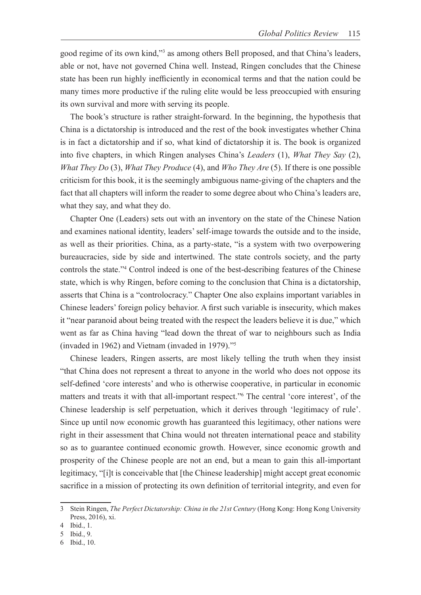good regime of its own kind,"<sup>3</sup> as among others Bell proposed, and that China's leaders, able or not, have not governed China well. Instead, Ringen concludes that the Chinese state has been run highly inefficiently in economical terms and that the nation could be many times more productive if the ruling elite would be less preoccupied with ensuring its own survival and more with serving its people.

The book's structure is rather straight-forward. In the beginning, the hypothesis that China is a dictatorship is introduced and the rest of the book investigates whether China is in fact a dictatorship and if so, what kind of dictatorship it is. The book is organized into five chapters, in which Ringen analyses China's *Leaders* (1), *What They Say* (2), *What They Do* (3), *What They Produce* (4), and *Who They Are* (5). If there is one possible criticism for this book, it is the seemingly ambiguous name-giving of the chapters and the fact that all chapters will inform the reader to some degree about who China's leaders are, what they say, and what they do.

Chapter One (Leaders) sets out with an inventory on the state of the Chinese Nation and examines national identity, leaders' self-image towards the outside and to the inside, as well as their priorities. China, as a party-state, "is a system with two overpowering bureaucracies, side by side and intertwined. The state controls society, and the party controls the state."<sup>4</sup> Control indeed is one of the best-describing features of the Chinese state, which is why Ringen, before coming to the conclusion that China is a dictatorship, asserts that China is a "controlocracy." Chapter One also explains important variables in Chinese leaders' foreign policy behavior. A first such variable is insecurity, which makes it "near paranoid about being treated with the respect the leaders believe it is due," which went as far as China having "lead down the threat of war to neighbours such as India (invaded in 1962) and Vietnam (invaded in 1979)."5

Chinese leaders, Ringen asserts, are most likely telling the truth when they insist "that China does not represent a threat to anyone in the world who does not oppose its self-defined 'core interests' and who is otherwise cooperative, in particular in economic matters and treats it with that all-important respect."6 The central 'core interest', of the Chinese leadership is self perpetuation, which it derives through 'legitimacy of rule'. Since up until now economic growth has guaranteed this legitimacy, other nations were right in their assessment that China would not threaten international peace and stability so as to guarantee continued economic growth. However, since economic growth and prosperity of the Chinese people are not an end, but a mean to gain this all-important legitimacy, "[i]t is conceivable that [the Chinese leadership] might accept great economic sacrifice in a mission of protecting its own definition of territorial integrity, and even for

<sup>3</sup> Stein Ringen, *The Perfect Dictatorship: China in the 21st Century* (Hong Kong: Hong Kong University Press, 2016), xi.

<sup>4</sup> Ibid., 1.

<sup>5</sup> Ibid., 9.

<sup>6</sup> Ibid., 10.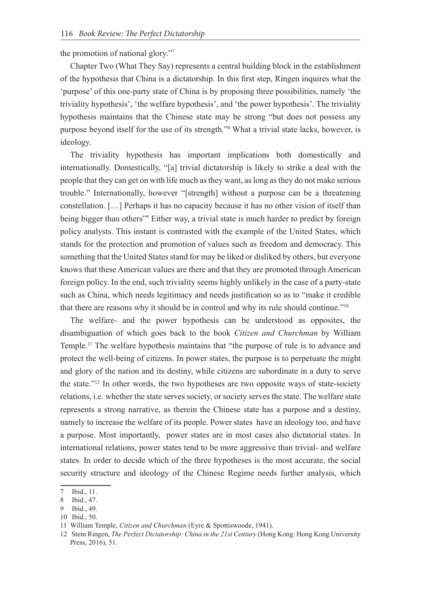the promotion of national glory."7

Chapter Two (What They Say) represents a central building block in the establishment of the hypothesis that China is a dictatorship. In this first step, Ringen inquires what the 'purpose' of this one-party state of China is by proposing three possibilities, namely 'the triviality hypothesis', 'the welfare hypothesis', and 'the power hypothesis'. The triviality hypothesis maintains that the Chinese state may be strong "but does not possess any purpose beyond itself for the use of its strength."8 What a trivial state lacks, however, is ideology.

The triviality hypothesis has important implications both domestically and internationally. Domestically, "[a] trivial dictatorship is likely to strike a deal with the people that they can get on with life much as they want, as long as they do not make serious trouble." Internationally, however "[strength] without a purpose can be a threatening constellation. […] Perhaps it has no capacity because it has no other vision of itself than being bigger than others"<sup>9</sup> Either way, a trivial state is much harder to predict by foreign policy analysts. This instant is contrasted with the example of the United States, which stands for the protection and promotion of values such as freedom and democracy. This something that the United States stand for may be liked or disliked by others, but everyone knows that these American values are there and that they are promoted through American foreign policy. In the end, such triviality seems highly unlikely in the case of a party-state such as China, which needs legitimacy and needs justification so as to "make it credible that there are reasons why it should be in control and why its rule should continue."10

The welfare- and the power hypothesis can be understood as opposites, the disambiguation of which goes back to the book *Citizen and Churchman* by William Temple.11 The welfare hypothesis maintains that "the purpose of rule is to advance and protect the well-being of citizens. In power states, the purpose is to perpetuate the might and glory of the nation and its destiny, while citizens are subordinate in a duty to serve the state."12 In other words, the two hypotheses are two opposite ways of state-society relations, i.e. whether the state serves society, or society serves the state. The welfare state represents a strong narrative, as therein the Chinese state has a purpose and a destiny, namely to increase the welfare of its people. Power states have an ideology too, and have a purpose. Most importantly, power states are in most cases also dictatorial states. In international relations, power states tend to be more aggressive than trivial- and welfare states. In order to decide which of the three hypotheses is the most accurate, the social security structure and ideology of the Chinese Regime needs further analysis, which

<sup>7</sup> Ibid., 11.

<sup>8</sup> Ibid., 47.

<sup>9</sup> Ibid., 49.

<sup>10</sup> Ibid., 50.

<sup>11</sup> William Temple, *Citizen and Churchman* (Eyre & Spottiswoode, 1941).

<sup>12</sup> Stein Ringen, *The Perfect Dictatorship: China in the 21st Century* (Hong Kong: Hong Kong University Press, 2016), 51.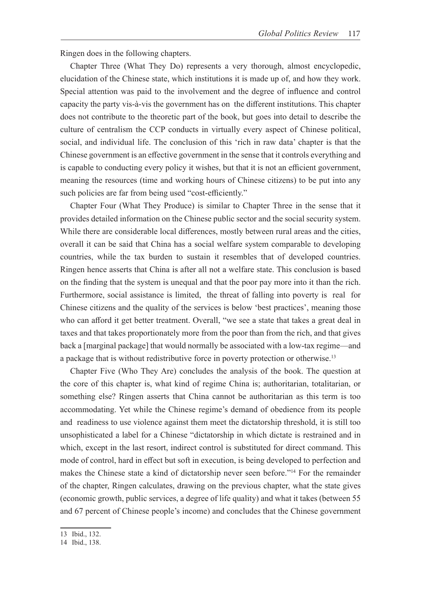Ringen does in the following chapters.

Chapter Three (What They Do) represents a very thorough, almost encyclopedic, elucidation of the Chinese state, which institutions it is made up of, and how they work. Special attention was paid to the involvement and the degree of influence and control capacity the party vis-à-vis the government has on the different institutions. This chapter does not contribute to the theoretic part of the book, but goes into detail to describe the culture of centralism the CCP conducts in virtually every aspect of Chinese political, social, and individual life. The conclusion of this 'rich in raw data' chapter is that the Chinese government is an effective government in the sense that it controls everything and is capable to conducting every policy it wishes, but that it is not an efficient government, meaning the resources (time and working hours of Chinese citizens) to be put into any such policies are far from being used "cost-efficiently."

Chapter Four (What They Produce) is similar to Chapter Three in the sense that it provides detailed information on the Chinese public sector and the social security system. While there are considerable local differences, mostly between rural areas and the cities, overall it can be said that China has a social welfare system comparable to developing countries, while the tax burden to sustain it resembles that of developed countries. Ringen hence asserts that China is after all not a welfare state. This conclusion is based on the finding that the system is unequal and that the poor pay more into it than the rich. Furthermore, social assistance is limited, the threat of falling into poverty is real for Chinese citizens and the quality of the services is below 'best practices', meaning those who can afford it get better treatment. Overall, "we see a state that takes a great deal in taxes and that takes proportionately more from the poor than from the rich, and that gives back a [marginal package] that would normally be associated with a low-tax regime—and a package that is without redistributive force in poverty protection or otherwise.<sup>13</sup>

Chapter Five (Who They Are) concludes the analysis of the book. The question at the core of this chapter is, what kind of regime China is; authoritarian, totalitarian, or something else? Ringen asserts that China cannot be authoritarian as this term is too accommodating. Yet while the Chinese regime's demand of obedience from its people and readiness to use violence against them meet the dictatorship threshold, it is still too unsophisticated a label for a Chinese "dictatorship in which dictate is restrained and in which, except in the last resort, indirect control is substituted for direct command. This mode of control, hard in effect but soft in execution, is being developed to perfection and makes the Chinese state a kind of dictatorship never seen before."14 For the remainder of the chapter, Ringen calculates, drawing on the previous chapter, what the state gives (economic growth, public services, a degree of life quality) and what it takes (between 55 and 67 percent of Chinese people's income) and concludes that the Chinese government

<sup>13</sup> Ibid., 132.

<sup>14</sup> Ibid., 138.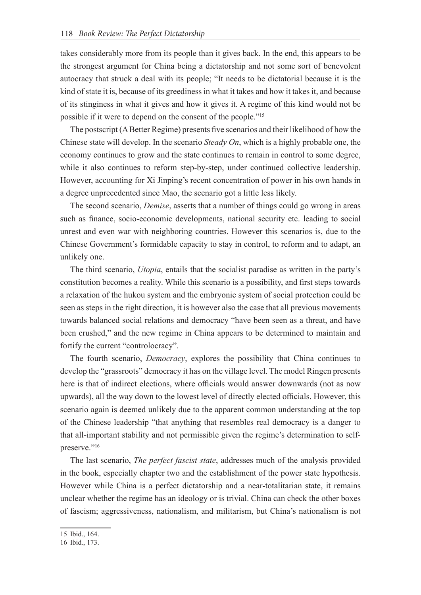takes considerably more from its people than it gives back. In the end, this appears to be the strongest argument for China being a dictatorship and not some sort of benevolent autocracy that struck a deal with its people; "It needs to be dictatorial because it is the kind of state it is, because of its greediness in what it takes and how it takes it, and because of its stinginess in what it gives and how it gives it. A regime of this kind would not be possible if it were to depend on the consent of the people."15

The postscript (A Better Regime) presents five scenarios and their likelihood of how the Chinese state will develop. In the scenario *Steady On*, which is a highly probable one, the economy continues to grow and the state continues to remain in control to some degree, while it also continues to reform step-by-step, under continued collective leadership. However, accounting for Xi Jinping's recent concentration of power in his own hands in a degree unprecedented since Mao, the scenario got a little less likely.

The second scenario, *Demise*, asserts that a number of things could go wrong in areas such as finance, socio-economic developments, national security etc. leading to social unrest and even war with neighboring countries. However this scenarios is, due to the Chinese Government's formidable capacity to stay in control, to reform and to adapt, an unlikely one.

The third scenario, *Utopia*, entails that the socialist paradise as written in the party's constitution becomes a reality. While this scenario is a possibility, and first steps towards a relaxation of the hukou system and the embryonic system of social protection could be seen as steps in the right direction, it is however also the case that all previous movements towards balanced social relations and democracy "have been seen as a threat, and have been crushed," and the new regime in China appears to be determined to maintain and fortify the current "controlocracy".

The fourth scenario, *Democracy*, explores the possibility that China continues to develop the "grassroots" democracy it has on the village level. The model Ringen presents here is that of indirect elections, where officials would answer downwards (not as now upwards), all the way down to the lowest level of directly elected officials. However, this scenario again is deemed unlikely due to the apparent common understanding at the top of the Chinese leadership "that anything that resembles real democracy is a danger to that all-important stability and not permissible given the regime's determination to selfpreserve."<sup>16</sup>

The last scenario, *The perfect fascist state*, addresses much of the analysis provided in the book, especially chapter two and the establishment of the power state hypothesis. However while China is a perfect dictatorship and a near-totalitarian state, it remains unclear whether the regime has an ideology or is trivial. China can check the other boxes of fascism; aggressiveness, nationalism, and militarism, but China's nationalism is not

<sup>15</sup> Ibid., 164.

<sup>16</sup> Ibid., 173.